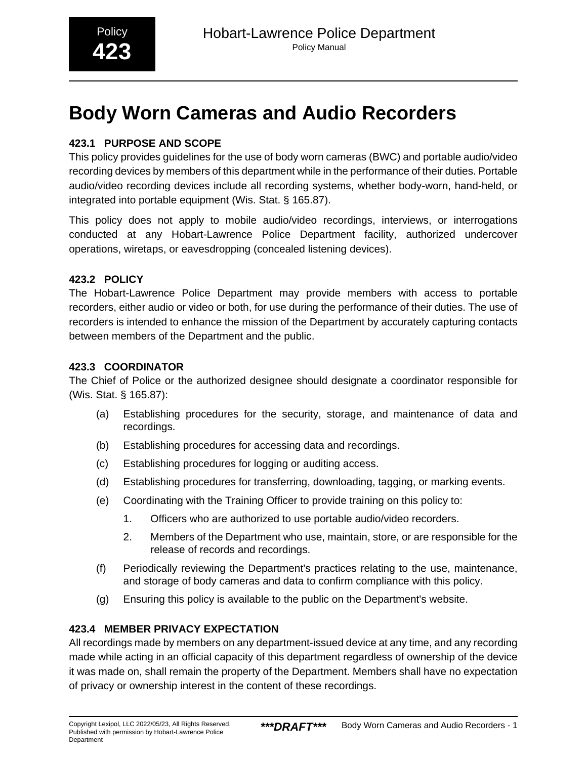# **Body Worn Cameras and Audio Recorders**

#### **423.1 PURPOSE AND SCOPE**

This policy provides guidelines for the use of body worn cameras (BWC) and portable audio/video recording devices by members of this department while in the performance of their duties. Portable audio/video recording devices include all recording systems, whether body-worn, hand-held, or integrated into portable equipment (Wis. Stat. § 165.87).

This policy does not apply to mobile audio/video recordings, interviews, or interrogations conducted at any Hobart-Lawrence Police Department facility, authorized undercover operations, wiretaps, or eavesdropping (concealed listening devices).

#### **423.2 POLICY**

The Hobart-Lawrence Police Department may provide members with access to portable recorders, either audio or video or both, for use during the performance of their duties. The use of recorders is intended to enhance the mission of the Department by accurately capturing contacts between members of the Department and the public.

#### **423.3 COORDINATOR**

The Chief of Police or the authorized designee should designate a coordinator responsible for (Wis. Stat. § 165.87):

- (a) Establishing procedures for the security, storage, and maintenance of data and recordings.
- (b) Establishing procedures for accessing data and recordings.
- (c) Establishing procedures for logging or auditing access.
- (d) Establishing procedures for transferring, downloading, tagging, or marking events.
- (e) Coordinating with the Training Officer to provide training on this policy to:
	- 1. Officers who are authorized to use portable audio/video recorders.
	- 2. Members of the Department who use, maintain, store, or are responsible for the release of records and recordings.
- (f) Periodically reviewing the Department's practices relating to the use, maintenance, and storage of body cameras and data to confirm compliance with this policy.
- (g) Ensuring this policy is available to the public on the Department's website.

#### **423.4 MEMBER PRIVACY EXPECTATION**

All recordings made by members on any department-issued device at any time, and any recording made while acting in an official capacity of this department regardless of ownership of the device it was made on, shall remain the property of the Department. Members shall have no expectation of privacy or ownership interest in the content of these recordings.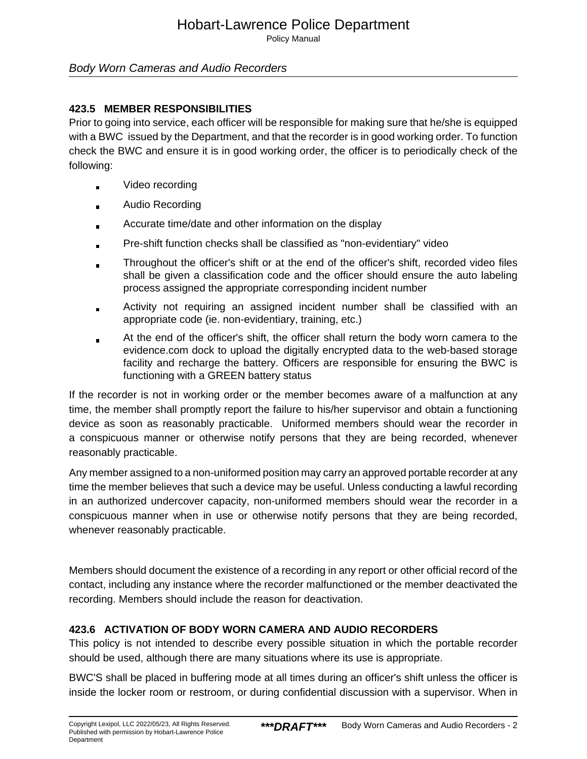### Hobart-Lawrence Police Department

Policy Manual

#### Body Worn Cameras and Audio Recorders

#### **423.5 MEMBER RESPONSIBILITIES**

Prior to going into service, each officer will be responsible for making sure that he/she is equipped with a BWC issued by the Department, and that the recorder is in good working order. To function check the BWC and ensure it is in good working order, the officer is to periodically check of the following:

- Video recording
- Audio Recording
- Accurate time/date and other information on the display  $\blacksquare$
- Pre-shift function checks shall be classified as "non-evidentiary" video
- Throughout the officer's shift or at the end of the officer's shift, recorded video files shall be given a classification code and the officer should ensure the auto labeling process assigned the appropriate corresponding incident number
- Activity not requiring an assigned incident number shall be classified with an appropriate code (ie. non-evidentiary, training, etc.)
- At the end of the officer's shift, the officer shall return the body worn camera to the  $\blacksquare$ evidence.com dock to upload the digitally encrypted data to the web-based storage facility and recharge the battery. Officers are responsible for ensuring the BWC is functioning with a GREEN battery status

If the recorder is not in working order or the member becomes aware of a malfunction at any time, the member shall promptly report the failure to his/her supervisor and obtain a functioning device as soon as reasonably practicable. Uniformed members should wear the recorder in a conspicuous manner or otherwise notify persons that they are being recorded, whenever reasonably practicable.

Any member assigned to a non-uniformed position may carry an approved portable recorder at any time the member believes that such a device may be useful. Unless conducting a lawful recording in an authorized undercover capacity, non-uniformed members should wear the recorder in a conspicuous manner when in use or otherwise notify persons that they are being recorded, whenever reasonably practicable.

Members should document the existence of a recording in any report or other official record of the contact, including any instance where the recorder malfunctioned or the member deactivated the recording. Members should include the reason for deactivation.

#### **423.6 ACTIVATION OF BODY WORN CAMERA AND AUDIO RECORDERS**

This policy is not intended to describe every possible situation in which the portable recorder should be used, although there are many situations where its use is appropriate.

BWC'S shall be placed in buffering mode at all times during an officer's shift unless the officer is inside the locker room or restroom, or during confidential discussion with a supervisor. When in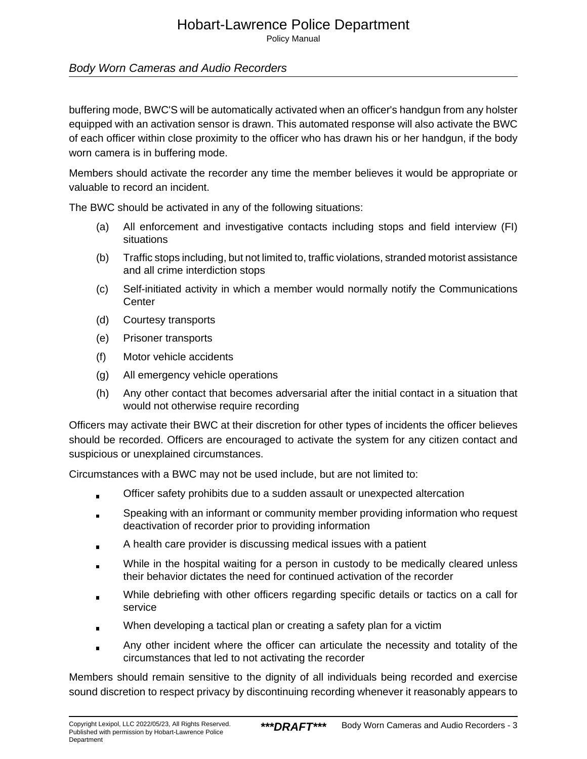Policy Manual

#### Body Worn Cameras and Audio Recorders

buffering mode, BWC'S will be automatically activated when an officer's handgun from any holster equipped with an activation sensor is drawn. This automated response will also activate the BWC of each officer within close proximity to the officer who has drawn his or her handgun, if the body worn camera is in buffering mode.

Members should activate the recorder any time the member believes it would be appropriate or valuable to record an incident.

The BWC should be activated in any of the following situations:

- (a) All enforcement and investigative contacts including stops and field interview (FI) situations
- (b) Traffic stops including, but not limited to, traffic violations, stranded motorist assistance and all crime interdiction stops
- (c) Self-initiated activity in which a member would normally notify the Communications **Center**
- (d) Courtesy transports
- (e) Prisoner transports
- (f) Motor vehicle accidents
- (g) All emergency vehicle operations
- (h) Any other contact that becomes adversarial after the initial contact in a situation that would not otherwise require recording

Officers may activate their BWC at their discretion for other types of incidents the officer believes should be recorded. Officers are encouraged to activate the system for any citizen contact and suspicious or unexplained circumstances.

Circumstances with a BWC may not be used include, but are not limited to:

- Officer safety prohibits due to a sudden assault or unexpected altercation  $\blacksquare$
- Speaking with an informant or community member providing information who request deactivation of recorder prior to providing information
- A health care provider is discussing medical issues with a patient
- While in the hospital waiting for a person in custody to be medically cleared unless their behavior dictates the need for continued activation of the recorder
- While debriefing with other officers regarding specific details or tactics on a call for service
- When developing a tactical plan or creating a safety plan for a victim
- Any other incident where the officer can articulate the necessity and totality of the  $\blacksquare$ circumstances that led to not activating the recorder

Members should remain sensitive to the dignity of all individuals being recorded and exercise sound discretion to respect privacy by discontinuing recording whenever it reasonably appears to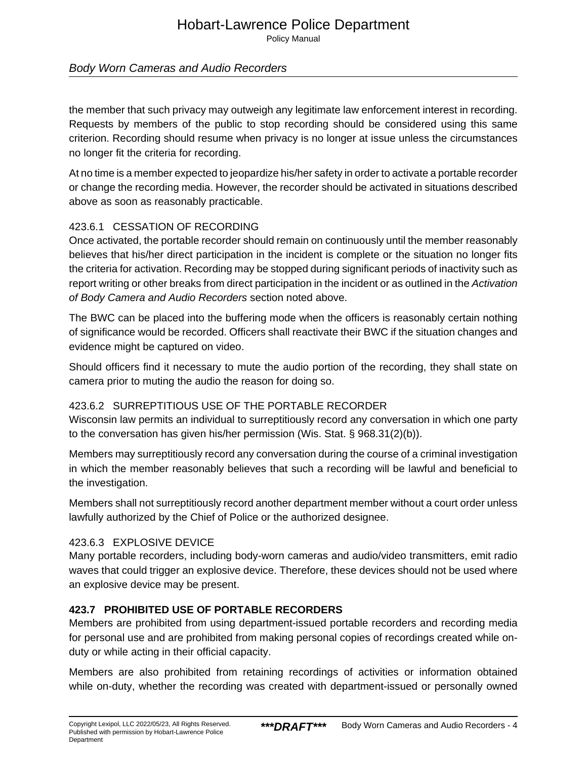## Hobart-Lawrence Police Department

Policy Manual

#### Body Worn Cameras and Audio Recorders

the member that such privacy may outweigh any legitimate law enforcement interest in recording. Requests by members of the public to stop recording should be considered using this same criterion. Recording should resume when privacy is no longer at issue unless the circumstances no longer fit the criteria for recording.

At no time is a member expected to jeopardize his/her safety in order to activate a portable recorder or change the recording media. However, the recorder should be activated in situations described above as soon as reasonably practicable.

#### 423.6.1 CESSATION OF RECORDING

Once activated, the portable recorder should remain on continuously until the member reasonably believes that his/her direct participation in the incident is complete or the situation no longer fits the criteria for activation. Recording may be stopped during significant periods of inactivity such as report writing or other breaks from direct participation in the incident or as outlined in the Activation of Body Camera and Audio Recorders section noted above.

The BWC can be placed into the buffering mode when the officers is reasonably certain nothing of significance would be recorded. Officers shall reactivate their BWC if the situation changes and evidence might be captured on video.

Should officers find it necessary to mute the audio portion of the recording, they shall state on camera prior to muting the audio the reason for doing so.

#### 423.6.2 SURREPTITIOUS USE OF THE PORTABLE RECORDER

Wisconsin law permits an individual to surreptitiously record any conversation in which one party to the conversation has given his/her permission (Wis. Stat. § 968.31(2)(b)).

Members may surreptitiously record any conversation during the course of a criminal investigation in which the member reasonably believes that such a recording will be lawful and beneficial to the investigation.

Members shall not surreptitiously record another department member without a court order unless lawfully authorized by the Chief of Police or the authorized designee.

#### 423.6.3 EXPLOSIVE DEVICE

Many portable recorders, including body-worn cameras and audio/video transmitters, emit radio waves that could trigger an explosive device. Therefore, these devices should not be used where an explosive device may be present.

#### **423.7 PROHIBITED USE OF PORTABLE RECORDERS**

Members are prohibited from using department-issued portable recorders and recording media for personal use and are prohibited from making personal copies of recordings created while onduty or while acting in their official capacity.

Members are also prohibited from retaining recordings of activities or information obtained while on-duty, whether the recording was created with department-issued or personally owned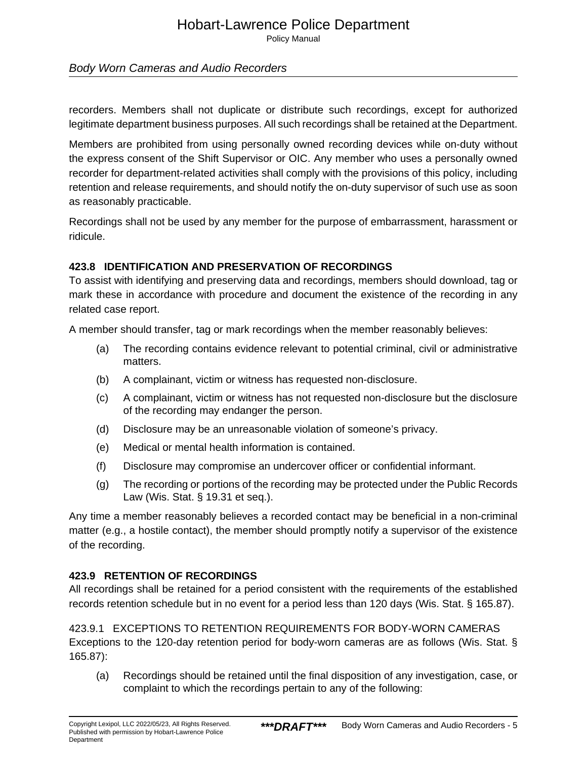Policy Manual

Body Worn Cameras and Audio Recorders

recorders. Members shall not duplicate or distribute such recordings, except for authorized legitimate department business purposes. All such recordings shall be retained at the Department.

Members are prohibited from using personally owned recording devices while on-duty without the express consent of the Shift Supervisor or OIC. Any member who uses a personally owned recorder for department-related activities shall comply with the provisions of this policy, including retention and release requirements, and should notify the on-duty supervisor of such use as soon as reasonably practicable.

Recordings shall not be used by any member for the purpose of embarrassment, harassment or ridicule.

#### **423.8 IDENTIFICATION AND PRESERVATION OF RECORDINGS**

To assist with identifying and preserving data and recordings, members should download, tag or mark these in accordance with procedure and document the existence of the recording in any related case report.

A member should transfer, tag or mark recordings when the member reasonably believes:

- (a) The recording contains evidence relevant to potential criminal, civil or administrative matters.
- (b) A complainant, victim or witness has requested non-disclosure.
- (c) A complainant, victim or witness has not requested non-disclosure but the disclosure of the recording may endanger the person.
- (d) Disclosure may be an unreasonable violation of someone's privacy.
- (e) Medical or mental health information is contained.
- (f) Disclosure may compromise an undercover officer or confidential informant.
- (g) The recording or portions of the recording may be protected under the Public Records Law (Wis. Stat. § 19.31 et seq.).

Any time a member reasonably believes a recorded contact may be beneficial in a non-criminal matter (e.g., a hostile contact), the member should promptly notify a supervisor of the existence of the recording.

#### **423.9 RETENTION OF RECORDINGS**

All recordings shall be retained for a period consistent with the requirements of the established records retention schedule but in no event for a period less than 120 days (Wis. Stat. § 165.87).

423.9.1 EXCEPTIONS TO RETENTION REQUIREMENTS FOR BODY-WORN CAMERAS Exceptions to the 120-day retention period for body-worn cameras are as follows (Wis. Stat. § 165.87):

(a) Recordings should be retained until the final disposition of any investigation, case, or complaint to which the recordings pertain to any of the following: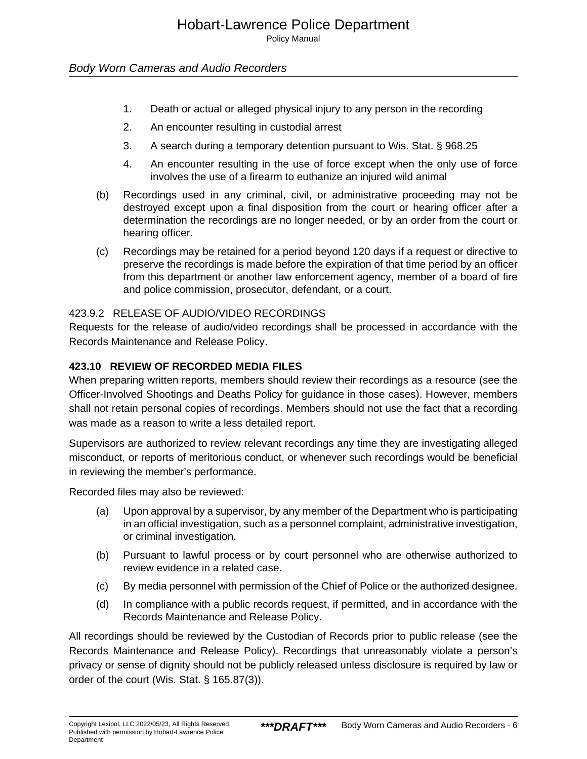Policy Manual

#### Body Worn Cameras and Audio Recorders

- 1. Death or actual or alleged physical injury to any person in the recording
- 2. An encounter resulting in custodial arrest
- 3. A search during a temporary detention pursuant to Wis. Stat. § 968.25
- 4. An encounter resulting in the use of force except when the only use of force involves the use of a firearm to euthanize an injured wild animal
- (b) Recordings used in any criminal, civil, or administrative proceeding may not be destroyed except upon a final disposition from the court or hearing officer after a determination the recordings are no longer needed, or by an order from the court or hearing officer.
- (c) Recordings may be retained for a period beyond 120 days if a request or directive to preserve the recordings is made before the expiration of that time period by an officer from this department or another law enforcement agency, member of a board of fire and police commission, prosecutor, defendant, or a court.

#### 423.9.2 RELEASE OF AUDIO/VIDEO RECORDINGS

Requests for the release of audio/video recordings shall be processed in accordance with the Records Maintenance and Release Policy.

#### **423.10 REVIEW OF RECORDED MEDIA FILES**

When preparing written reports, members should review their recordings as a resource (see the Officer-Involved Shootings and Deaths Policy for guidance in those cases). However, members shall not retain personal copies of recordings. Members should not use the fact that a recording was made as a reason to write a less detailed report.

Supervisors are authorized to review relevant recordings any time they are investigating alleged misconduct, or reports of meritorious conduct, or whenever such recordings would be beneficial in reviewing the member's performance.

Recorded files may also be reviewed:

- (a) Upon approval by a supervisor, by any member of the Department who is participating in an official investigation, such as a personnel complaint, administrative investigation, or criminal investigation.
- (b) Pursuant to lawful process or by court personnel who are otherwise authorized to review evidence in a related case.
- (c) By media personnel with permission of the Chief of Police or the authorized designee.
- (d) In compliance with a public records request, if permitted, and in accordance with the Records Maintenance and Release Policy.

All recordings should be reviewed by the Custodian of Records prior to public release (see the Records Maintenance and Release Policy). Recordings that unreasonably violate a person's privacy or sense of dignity should not be publicly released unless disclosure is required by law or order of the court (Wis. Stat. § 165.87(3)).